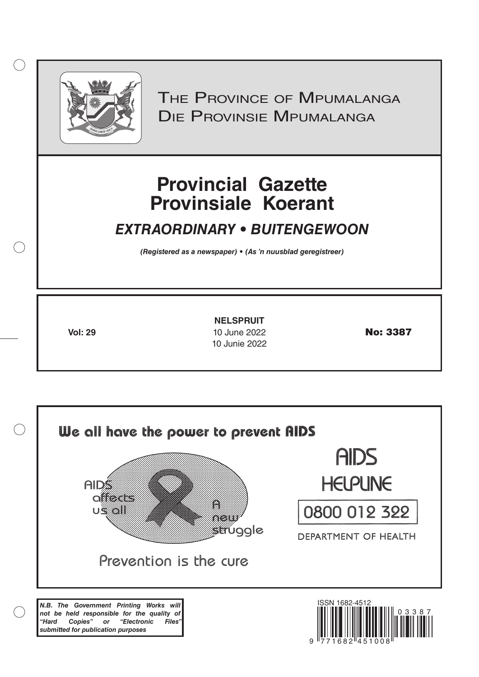

 $( )$ 

*(Registered as a newspaper) • (As 'n nuusblad geregistreer)*<br>
Frovincial Gazette<br>
Frovinsiale Koerant<br>
The Provinsiale Moerant<br>
The Provinsiale Moerant<br>
The Provinsiale Moerant<br>
(Registered as a newspaper) • (As 'n nuusbl

# **Provincial Gazette Provinsiale Koerant**

# *EXTRAORDINARY • BUITENGEWOON*

**Vol: 29 10 June 2022 No: 3387 NELSPRUIT** 10 Junie 2022

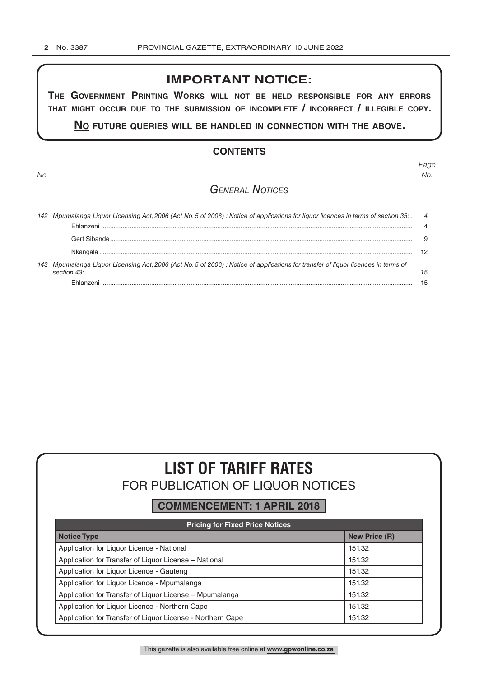# **IMPORTANT NOTICE:**

**The GovernmenT PrinTinG Works Will noT be held resPonsible for any errors ThaT miGhT occur due To The submission of incomPleTe / incorrecT / illeGible coPy.**

**no fuTure queries Will be handled in connecTion WiTh The above.**

## **CONTENTS**

*No.*

*Page No.*

# *General Notices*

| 142 Mpumalanga Liquor Licensing Act, 2006 (Act No. 5 of 2006) : Notice of applications for liquor licences in terms of section 35: 4 |    |
|--------------------------------------------------------------------------------------------------------------------------------------|----|
|                                                                                                                                      |    |
|                                                                                                                                      |    |
|                                                                                                                                      |    |
| 143 Mpumalanga Liquor Licensing Act, 2006 (Act No. 5 of 2006) : Notice of applications for transfer of liquor licences in terms of   | 15 |
|                                                                                                                                      |    |

# **LIST OF TARIFF RATES** FOR PUBLICATION OF LIQUOR NOTICES

# **COMMENCEMENT: 1 APRIL 2018**

| <b>Pricing for Fixed Price Notices</b>                     |                      |  |
|------------------------------------------------------------|----------------------|--|
| <b>Notice Type</b>                                         | <b>New Price (R)</b> |  |
| Application for Liquor Licence - National                  | 151.32               |  |
| Application for Transfer of Liquor License - National      | 151.32               |  |
| Application for Liquor Licence - Gauteng                   | 151.32               |  |
| Application for Liquor Licence - Mpumalanga                | 151.32               |  |
| Application for Transfer of Liquor License - Mpumalanga    | 151.32               |  |
| Application for Liquor Licence - Northern Cape             | 151.32               |  |
| Application for Transfer of Liquor License - Northern Cape | 151.32               |  |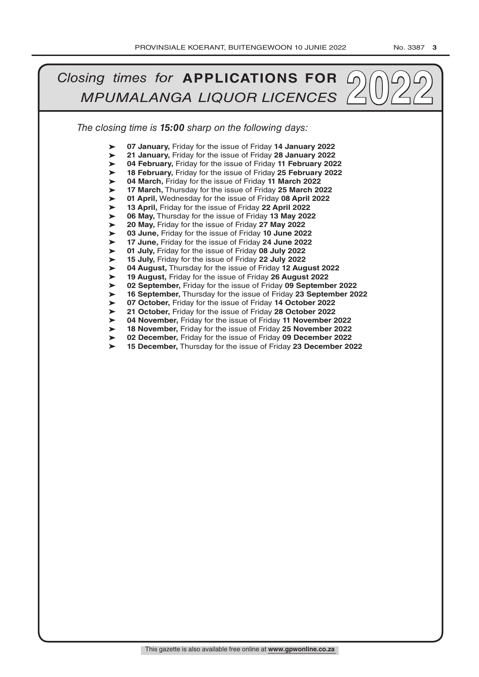#### *The closing time is 15:00 sharp on the following days: 2022***<br>** *MPUMALANGA LIQUOR LICENCES* ➤ ➤ ➤ ➤ ➤ ➤ ➤ ➤ ➤ ➤ ➤ ➤ ➤ ➤ ➤ ➤ ➤ ➤ ➤ ➤ ➤ ➤ ➤ ➤ **07 January,** Friday for the issue of Friday **14 January 2022 21 January,** Friday for the issue of Friday **28 January 2022 04 February,** Friday for the issue of Friday **11 February 2022 18 February,** Friday for the issue of Friday **25 February 2022 04 March,** Friday for the issue of Friday **11 March 2022 17 March,** Thursday for the issue of Friday **25 March 2022 01 April,** Wednesday for the issue of Friday **08 April 2022 13 April,** Friday for the issue of Friday **22 April 2022 06 May,** Thursday for the issue of Friday **13 May 2022 20 May,** Friday for the issue of Friday **27 May 2022 03 June,** Friday for the issue of Friday **10 June 2022 17 June,** Friday for the issue of Friday **24 June 2022 01 July,** Friday for the issue of Friday **08 July 2022 15 July,** Friday for the issue of Friday **22 July 2022 04 August,** Thursday for the issue of Friday **12 August 2022 19 August,** Friday for the issue of Friday **26 August 2022 02 September,** Friday for the issue of Friday **09 September 2022 16 September,** Thursday for the issue of Friday **23 September 2022 07 October,** Friday for the issue of Friday **14 October 2022 21 October,** Friday for the issue of Friday **28 October 2022 04 November,** Friday for the issue of Friday **11 November 2022 18 November,** Friday for the issue of Friday **25 November 2022 02 December,** Friday for the issue of Friday **09 December 2022 15 December,** Thursday for the issue of Friday **23 December 2022**

This gazette is also available free online at **www.gpwonline.co.za**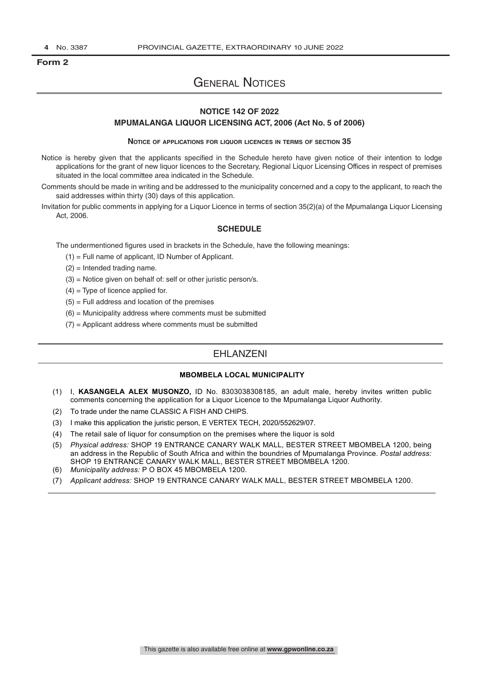### **Form 2**

# General Notices

# **NOTICE 142 OF 2022**

#### **MPUMALANGA LIQUOR LICENSING ACT, 2006 (Act No. 5 of 2006)**

#### **Notice of applications for liquor licences in terms of section 35**

- Notice is hereby given that the applicants specified in the Schedule hereto have given notice of their intention to lodge applications for the grant of new liquor licences to the Secretary, Regional Liquor Licensing Offices in respect of premises situated in the local committee area indicated in the Schedule.
- Comments should be made in writing and be addressed to the municipality concerned and a copy to the applicant, to reach the said addresses within thirty (30) days of this application.
- Invitation for public comments in applying for a Liquor Licence in terms of section 35(2)(a) of the Mpumalanga Liquor Licensing Act, 2006.

#### **SCHEDULE**

The undermentioned figures used in brackets in the Schedule, have the following meanings:

- (1) = Full name of applicant, ID Number of Applicant.
- $(2)$  = Intended trading name.
- $(3)$  = Notice given on behalf of: self or other juristic person/s.
- $(4)$  = Type of licence applied for.
- $(5)$  = Full address and location of the premises
- $(6)$  = Municipality address where comments must be submitted
- (7) = Applicant address where comments must be submitted

# EHLANZENI

#### **MBOMBELA LOCAL MUNICIPALITY**

- (1) I, **KASANGELA ALEX MUSONZO,** ID No. 8303038308185, an adult male, hereby invites written public comments concerning the application for a Liquor Licence to the Mpumalanga Liquor Authority.
- (2) To trade under the name CLASSIC A FISH AND CHIPS.
- (3) I make this application the juristic person, E VERTEX TECH, 2020/552629/07.
- (4) The retail sale of liquor for consumption on the premises where the liquor is sold
- (5) *Physical address:* SHOP 19 ENTRANCE CANARY WALK MALL, BESTER STREET MBOMBELA 1200, being an address in the Republic of South Africa and within the boundries of Mpumalanga Province. *Postal address:* SHOP 19 ENTRANCE CANARY WALK MALL, BESTER STREET MBOMBELA 1200.
- (6) *Municipality address:* P O BOX 45 MBOMBELA 1200.
- (7) *Applicant address:* SHOP 19 ENTRANCE CANARY WALK MALL, BESTER STREET MBOMBELA 1200.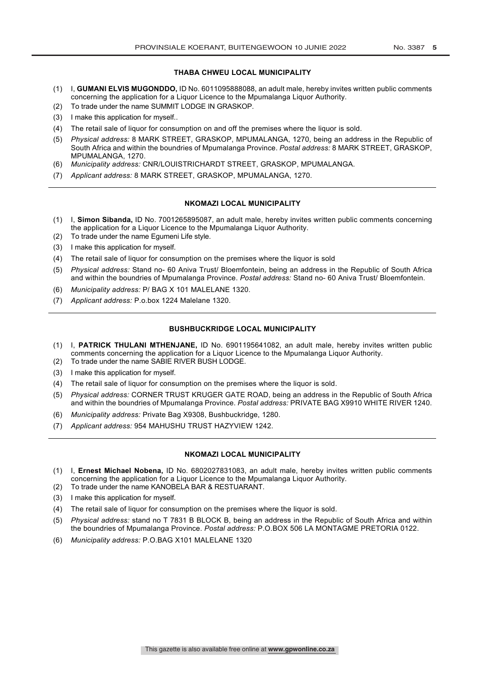#### **THABA CHWEU LOCAL MUNICIPALITY**

- (1) I, **GUMANI ELVIS MUGONDDO,** ID No. 6011095888088, an adult male, hereby invites written public comments concerning the application for a Liquor Licence to the Mpumalanga Liquor Authority.
- (2) To trade under the name SUMMIT LODGE IN GRASKOP.
- (3) I make this application for myself..
- (4) The retail sale of liquor for consumption on and off the premises where the liquor is sold.
- (5) *Physical address:* 8 MARK STREET, GRASKOP, MPUMALANGA, 1270, being an address in the Republic of South Africa and within the boundries of Mpumalanga Province. *Postal address:* 8 MARK STREET, GRASKOP, MPUMALANGA, 1270.
- (6) *Municipality address:* CNR/LOUISTRICHARDT STREET, GRASKOP, MPUMALANGA.
- (7) *Applicant address:* 8 MARK STREET, GRASKOP, MPUMALANGA, 1270.

#### **NKOMAZI LOCAL MUNICIPALITY**

- (1) I, **Simon Sibanda,** ID No. 7001265895087, an adult male, hereby invites written public comments concerning the application for a Liquor Licence to the Mpumalanga Liquor Authority. (2) To trade under the name Egumeni Life style.
- (3) I make this application for myself.
- (4) The retail sale of liquor for consumption on the premises where the liquor is sold
- (5) *Physical address:* Stand no- 60 Aniva Trust/ Bloemfontein, being an address in the Republic of South Africa and within the boundries of Mpumalanga Province. *Postal address:* Stand no- 60 Aniva Trust/ Bloemfontein.
- (6) *Municipality address:* P/ BAG X 101 MALELANE 1320.
- (7) *Applicant address:* P.o.box 1224 Malelane 1320.

#### **BUSHBUCKRIDGE LOCAL MUNICIPALITY**

- (1) I, **PATRICK THULANI MTHENJANE,** ID No. 6901195641082, an adult male, hereby invites written public comments concerning the application for a Liquor Licence to the Mpumalanga Liquor Authority.
- (2) To trade under the name SABIE RIVER BUSH LODGE.
- (3) I make this application for myself.
- (4) The retail sale of liquor for consumption on the premises where the liquor is sold.
- (5) *Physical address:* CORNER TRUST KRUGER GATE ROAD, being an address in the Republic of South Africa and within the boundries of Mpumalanga Province. *Postal address:* PRIVATE BAG X9910 WHITE RIVER 1240.
- (6) *Municipality address:* Private Bag X9308, Bushbuckridge, 1280.
- (7) *Applicant address:* 954 MAHUSHU TRUST HAZYVIEW 1242.

#### **NKOMAZI LOCAL MUNICIPALITY**

- (1) I, **Ernest Michael Nobena,** ID No. 6802027831083, an adult male, hereby invites written public comments concerning the application for a Liquor Licence to the Mpumalanga Liquor Authority.
- (2) To trade under the name KANOBELA BAR & RESTUARANT.
- (3) I make this application for myself.
- (4) The retail sale of liquor for consumption on the premises where the liquor is sold.
- (5) *Physical address:* stand no T 7831 B BLOCK B, being an address in the Republic of South Africa and within the boundries of Mpumalanga Province. *Postal address:* P.O.BOX 506 LA MONTAGME PRETORIA 0122.
- (6) *Municipality address:* P.O.BAG X101 MALELANE 1320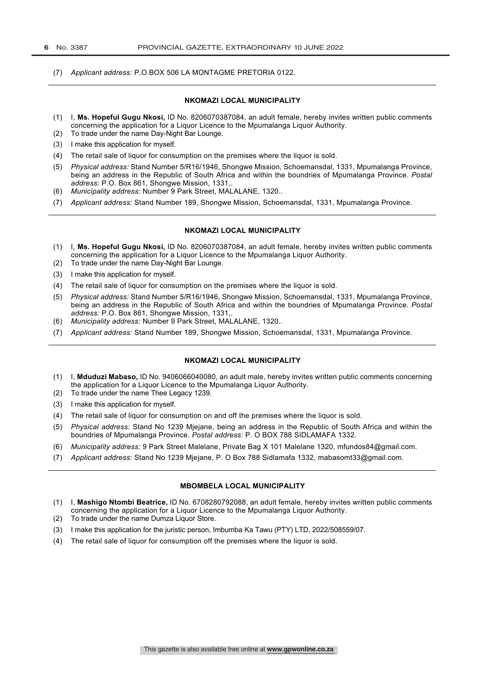(7) *Applicant address:* P.O.BOX 506 LA MONTAGME PRETORIA 0122.

#### **NKOMAZI LOCAL MUNICIPALITY**

- (1) I, **Ms. Hopeful Gugu Nkosi,** ID No. 8206070387084, an adult female, hereby invites written public comments concerning the application for a Liquor Licence to the Mpumalanga Liquor Authority.
- (2) To trade under the name Day-Night Bar Lounge.
- (3) I make this application for myself.
- (4) The retail sale of liquor for consumption on the premises where the liquor is sold.
- (5) *Physical address:* Stand Number 5/R16/1946, Shongwe Mission, Schoemansdal, 1331, Mpumalanga Province, being an address in the Republic of South Africa and within the boundries of Mpumalanga Province. *Postal address:* P.O. Box 861, Shongwe Mission, 1331,.
- (6) *Municipality address:* Number 9 Park Street, MALALANE, 1320..
- (7) *Applicant address:* Stand Number 189, Shongwe Mission, Schoemansdal, 1331, Mpumalanga Province.

#### **NKOMAZI LOCAL MUNICIPALITY**

- (1) I, **Ms. Hopeful Gugu Nkosi,** ID No. 8206070387084, an adult female, hereby invites written public comments concerning the application for a Liquor Licence to the Mpumalanga Liquor Authority.
- (2) To trade under the name Day-Night Bar Lounge.
- (3) I make this application for myself.
- (4) The retail sale of liquor for consumption on the premises where the liquor is sold.
- (5) *Physical address:* Stand Number 5/R16/1946, Shongwe Mission, Schoemansdal, 1331, Mpumalanga Province, being an address in the Republic of South Africa and within the boundries of Mpumalanga Province. *Postal address:* P.O. Box 861, Shongwe Mission, 1331,.
- (6) *Municipality address:* Number 9 Park Street, MALALANE, 1320..
- (7) *Applicant address:* Stand Number 189, Shongwe Mission, Schoemansdal, 1331, Mpumalanga Province.

#### **NKOMAZI LOCAL MUNICIPALITY**

- (1) I, **Mduduzi Mabaso,** ID No. 9406066040080, an adult male, hereby invites written public comments concerning the application for a Liquor Licence to the Mpumalanga Liquor Authority.
- (2) To trade under the name Thee Legacy 1239.
- (3) I make this application for myself.
- (4) The retail sale of liquor for consumption on and off the premises where the liquor is sold.
- (5) *Physical address:* Stand No 1239 Mjejane, being an address in the Republic of South Africa and within the boundries of Mpumalanga Province. *Postal address:* P. O BOX 788 SIDLAMAFA 1332.
- (6) *Municipality address:* 9 Park Street Malelane, Private Bag X 101 Malelane 1320, mfundos84@gmail.com.
- (7) *Applicant address:* Stand No 1239 Mjejane, P. O Box 788 Sidlamafa 1332, mabasomt33@gmail.com.

#### **MBOMBELA LOCAL MUNICIPALITY**

- (1) I, **Mashigo Ntombi Beatrice,** ID No. 6708280792088, an adult female, hereby invites written public comments concerning the application for a Liquor Licence to the Mpumalanga Liquor Authority.
- (2) To trade under the name Dumza Liquor Store.
- (3) I make this application for the juristic person, Imbumba Ka Tawu (PTY) LTD, 2022/508559/07.
- (4) The retail sale of liquor for consumption off the premises where the liquor is sold.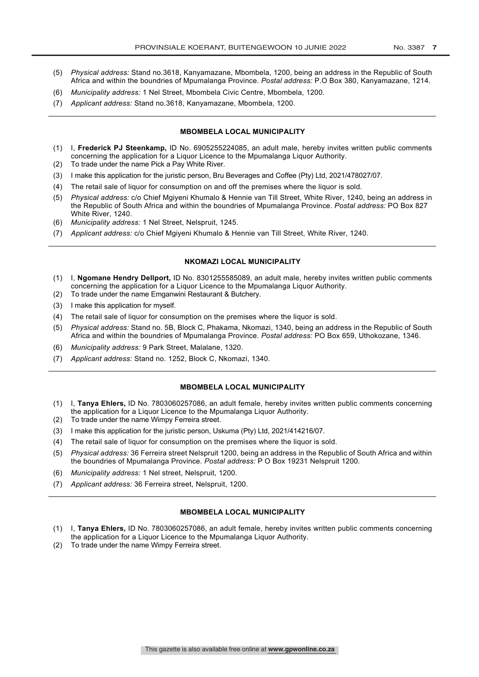- (5) *Physical address:* Stand no.3618, Kanyamazane, Mbombela, 1200, being an address in the Republic of South Africa and within the boundries of Mpumalanga Province. *Postal address:* P.O Box 380, Kanyamazane, 1214.
- (6) *Municipality address:* 1 Nel Street, Mbombela Civic Centre, Mbombela, 1200.
- (7) *Applicant address:* Stand no.3618, Kanyamazane, Mbombela, 1200.

#### **MBOMBELA LOCAL MUNICIPALITY**

- (1) I, **Frederick PJ Steenkamp,** ID No. 6905255224085, an adult male, hereby invites written public comments concerning the application for a Liquor Licence to the Mpumalanga Liquor Authority.
- (2) To trade under the name Pick a Pay White River.
- (3) I make this application for the juristic person, Bru Beverages and Coffee (Pty) Ltd, 2021/478027/07.
- (4) The retail sale of liquor for consumption on and off the premises where the liquor is sold.
- (5) *Physical address:* c/o Chief Mgiyeni Khumalo & Hennie van Till Street, White River, 1240, being an address in the Republic of South Africa and within the boundries of Mpumalanga Province. *Postal address:* PO Box 827 White River, 1240.
- (6) *Municipality address:* 1 Nel Street, Nelspruit, 1245.
- (7) *Applicant address:* c/o Chief Mgiyeni Khumalo & Hennie van Till Street, White River, 1240.

#### **NKOMAZI LOCAL MUNICIPALITY**

- (1) I, **Ngomane Hendry Dellport,** ID No. 8301255585089, an adult male, hereby invites written public comments concerning the application for a Liquor Licence to the Mpumalanga Liquor Authority.
- (2) To trade under the name Emganwini Restaurant & Butchery.
- (3) I make this application for myself.
- (4) The retail sale of liquor for consumption on the premises where the liquor is sold.
- (5) *Physical address:* Stand no. 5B, Block C, Phakama, Nkomazi, 1340, being an address in the Republic of South Africa and within the boundries of Mpumalanga Province. *Postal address:* PO Box 659, Uthokozane, 1346.
- (6) *Municipality address:* 9 Park Street, Malalane, 1320.
- (7) *Applicant address:* Stand no. 1252, Block C, Nkomazi, 1340.

#### **MBOMBELA LOCAL MUNICIPALITY**

- (1) I, **Tanya Ehlers,** ID No. 7803060257086, an adult female, hereby invites written public comments concerning the application for a Liquor Licence to the Mpumalanga Liquor Authority.
- (2) To trade under the name Wimpy Ferreira street.
- (3) I make this application for the juristic person, Uskuma (Pty) Ltd, 2021/414216/07.
- (4) The retail sale of liquor for consumption on the premises where the liquor is sold.
- (5) *Physical address:* 36 Ferreira street Nelspruit 1200, being an address in the Republic of South Africa and within the boundries of Mpumalanga Province. *Postal address:* P O Box 19231 Nelspruit 1200.
- (6) *Municipality address:* 1 Nel street, Nelspruit, 1200.
- (7) *Applicant address:* 36 Ferreira street, Nelspruit, 1200.

#### **MBOMBELA LOCAL MUNICIPALITY**

- (1) I, **Tanya Ehlers,** ID No. 7803060257086, an adult female, hereby invites written public comments concerning the application for a Liquor Licence to the Mpumalanga Liquor Authority.
- (2) To trade under the name Wimpy Ferreira street.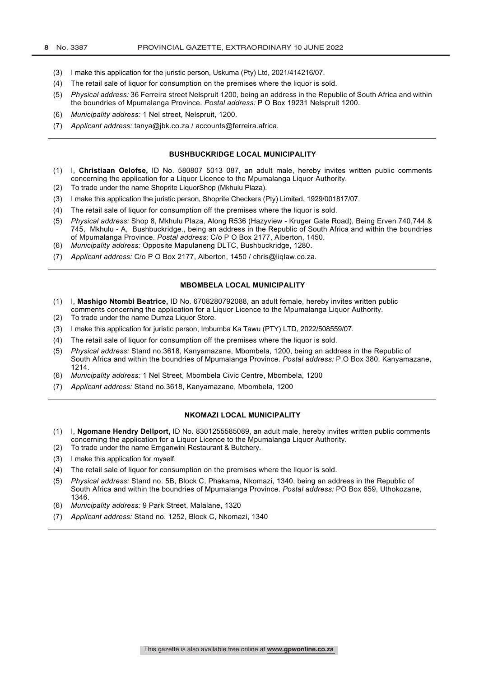- (3) I make this application for the juristic person, Uskuma (Pty) Ltd, 2021/414216/07.
- (4) The retail sale of liquor for consumption on the premises where the liquor is sold.
- (5) *Physical address:* 36 Ferreira street Nelspruit 1200, being an address in the Republic of South Africa and within the boundries of Mpumalanga Province. *Postal address:* P O Box 19231 Nelspruit 1200.
- (6) *Municipality address:* 1 Nel street, Nelspruit, 1200.
- (7) *Applicant address:* tanya@jbk.co.za / accounts@ferreira.africa.

#### **BUSHBUCKRIDGE LOCAL MUNICIPALITY**

- (1) I, **Christiaan Oelofse,** ID No. 580807 5013 087, an adult male, hereby invites written public comments concerning the application for a Liquor Licence to the Mpumalanga Liquor Authority.
- (2) To trade under the name Shoprite LiquorShop (Mkhulu Plaza).
- (3) I make this application the juristic person, Shoprite Checkers (Pty) Limited, 1929/001817/07.
- (4) The retail sale of liquor for consumption off the premises where the liquor is sold.
- (5) *Physical address:* Shop 8, Mkhulu Plaza, Along R536 (Hazyview Kruger Gate Road), Being Erven 740,744 & 745, Mkhulu - A, Bushbuckridge., being an address in the Republic of South Africa and within the boundries of Mpumalanga Province. *Postal address:* C/o P O Box 2177, Alberton, 1450.
- (6) *Municipality address:* Opposite Mapulaneng DLTC, Bushbuckridge, 1280.
- (7) *Applicant address:* C/o P O Box 2177, Alberton, 1450 / chris@liqlaw.co.za.

#### **MBOMBELA LOCAL MUNICIPALITY**

- (1) I, **Mashigo Ntombi Beatrice,** ID No. 6708280792088, an adult female, hereby invites written public comments concerning the application for a Liquor Licence to the Mpumalanga Liquor Authority.
- (2) To trade under the name Dumza Liquor Store.
- (3) I make this application for juristic person, Imbumba Ka Tawu (PTY) LTD, 2022/508559/07.
- (4) The retail sale of liquor for consumption off the premises where the liquor is sold.
- (5) *Physical address:* Stand no.3618, Kanyamazane, Mbombela, 1200, being an address in the Republic of South Africa and within the boundries of Mpumalanga Province. *Postal address:* P.O Box 380, Kanyamazane, 1214.
- (6) *Municipality address:* 1 Nel Street, Mbombela Civic Centre, Mbombela, 1200
- (7) *Applicant address:* Stand no.3618, Kanyamazane, Mbombela, 1200

#### **NKOMAZI LOCAL MUNICIPALITY**

- (1) I, **Ngomane Hendry Dellport,** ID No. 8301255585089, an adult male, hereby invites written public comments concerning the application for a Liquor Licence to the Mpumalanga Liquor Authority.
- (2) To trade under the name Emganwini Restaurant & Butchery.
- (3) I make this application for myself.
- (4) The retail sale of liquor for consumption on the premises where the liquor is sold.
- (5) *Physical address:* Stand no. 5B, Block C, Phakama, Nkomazi, 1340, being an address in the Republic of South Africa and within the boundries of Mpumalanga Province. *Postal address:* PO Box 659, Uthokozane, 1346.
- (6) *Municipality address:* 9 Park Street, Malalane, 1320
- (7) *Applicant address:* Stand no. 1252, Block C, Nkomazi, 1340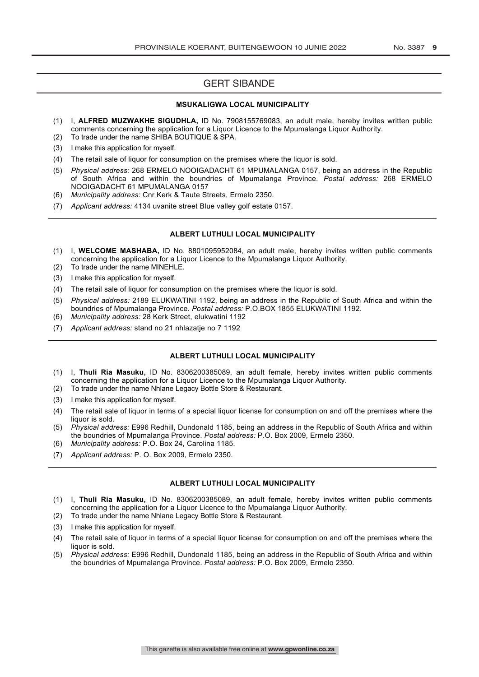## GERT SIBANDE

#### **MSUKALIGWA LOCAL MUNICIPALITY**

- (1) I, **ALFRED MUZWAKHE SIGUDHLA,** ID No. 7908155769083, an adult male, hereby invites written public comments concerning the application for a Liquor Licence to the Mpumalanga Liquor Authority. (2) To trade under the name SHIBA BOUTIQUE & SPA.
- (3) I make this application for myself.
- (4) The retail sale of liquor for consumption on the premises where the liquor is sold.
- (5) *Physical address:* 268 ERMELO NOOIGADACHT 61 MPUMALANGA 0157, being an address in the Republic of South Africa and within the boundries of Mpumalanga Province. *Postal address:* 268 ERMELO NOOIGADACHT 61 MPUMALANGA 0157
- (6) *Municipality address:* Cnr Kerk & Taute Streets, Ermelo 2350.
- (7) *Applicant address:* 4134 uvanite street Blue valley golf estate 0157.

#### **ALBERT LUTHULI LOCAL MUNICIPALITY**

- (1) I, **WELCOME MASHABA,** ID No. 8801095952084, an adult male, hereby invites written public comments concerning the application for a Liquor Licence to the Mpumalanga Liquor Authority. (2) To trade under the name MINEHLE.
- 
- (3) I make this application for myself.
- (4) The retail sale of liquor for consumption on the premises where the liquor is sold.
- (5) *Physical address:* 2189 ELUKWATINI 1192, being an address in the Republic of South Africa and within the boundries of Mpumalanga Province. *Postal address:* P.O.BOX 1855 ELUKWATINI 1192.
- (6) *Municipality address:* 28 Kerk Street, elukwatini 1192
- (7) *Applicant address:* stand no 21 nhlazatje no 7 1192

#### **ALBERT LUTHULI LOCAL MUNICIPALITY**

- (1) I, **Thuli Ria Masuku,** ID No. 8306200385089, an adult female, hereby invites written public comments concerning the application for a Liquor Licence to the Mpumalanga Liquor Authority.
- (2) To trade under the name Nhlane Legacy Bottle Store & Restaurant.
- (3) I make this application for myself.
- (4) The retail sale of liquor in terms of a special liquor license for consumption on and off the premises where the liquor is sold.
- (5) *Physical address:* E996 Redhill, Dundonald 1185, being an address in the Republic of South Africa and within the boundries of Mpumalanga Province. *Postal address:* P.O. Box 2009, Ermelo 2350.
- (6) *Municipality address:* P.O. Box 24, Carolina 1185.
- (7) *Applicant address:* P. O. Box 2009, Ermelo 2350.

#### **ALBERT LUTHULI LOCAL MUNICIPALITY**

- (1) I, **Thuli Ria Masuku,** ID No. 8306200385089, an adult female, hereby invites written public comments concerning the application for a Liquor Licence to the Mpumalanga Liquor Authority.
- (2) To trade under the name Nhlane Legacy Bottle Store & Restaurant.
- (3) I make this application for myself.
- (4) The retail sale of liquor in terms of a special liquor license for consumption on and off the premises where the liquor is sold.
- (5) *Physical address:* E996 Redhill, Dundonald 1185, being an address in the Republic of South Africa and within the boundries of Mpumalanga Province. *Postal address:* P.O. Box 2009, Ermelo 2350.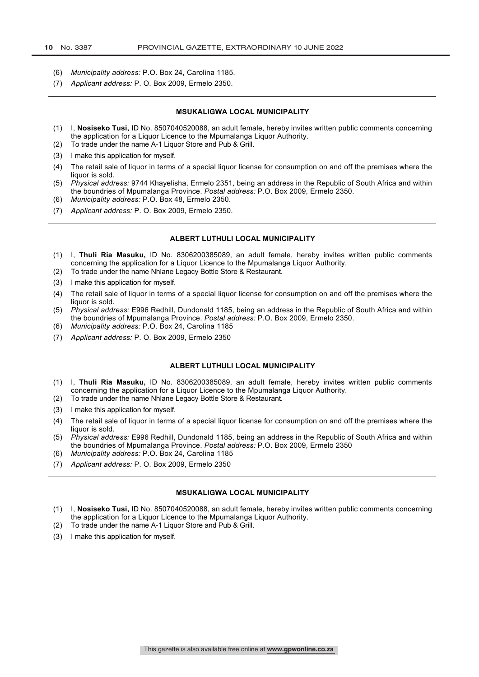- (6) *Municipality address:* P.O. Box 24, Carolina 1185.
- (7) *Applicant address:* P. O. Box 2009, Ermelo 2350.

#### **MSUKALIGWA LOCAL MUNICIPALITY**

- (1) I, **Nosiseko Tusi,** ID No. 8507040520088, an adult female, hereby invites written public comments concerning the application for a Liquor Licence to the Mpumalanga Liquor Authority.
- (2) To trade under the name A-1 Liquor Store and Pub & Grill.
- (3) I make this application for myself.
- (4) The retail sale of liquor in terms of a special liquor license for consumption on and off the premises where the liquor is sold.
- (5) *Physical address:* 9744 Khayelisha, Ermelo 2351, being an address in the Republic of South Africa and within the boundries of Mpumalanga Province. *Postal address:* P.O. Box 2009, Ermelo 2350.
- (6) *Municipality address:* P.O. Box 48, Ermelo 2350.
- (7) *Applicant address:* P. O. Box 2009, Ermelo 2350.

#### **ALBERT LUTHULI LOCAL MUNICIPALITY**

- (1) I, **Thuli Ria Masuku,** ID No. 8306200385089, an adult female, hereby invites written public comments concerning the application for a Liquor Licence to the Mpumalanga Liquor Authority.
- (2) To trade under the name Nhlane Legacy Bottle Store & Restaurant.
- (3) I make this application for myself.
- (4) The retail sale of liquor in terms of a special liquor license for consumption on and off the premises where the liquor is sold.
- (5) *Physical address:* E996 Redhill, Dundonald 1185, being an address in the Republic of South Africa and within the boundries of Mpumalanga Province. *Postal address:* P.O. Box 2009, Ermelo 2350.
- (6) *Municipality address:* P.O. Box 24, Carolina 1185
- (7) *Applicant address:* P. O. Box 2009, Ermelo 2350

#### **ALBERT LUTHULI LOCAL MUNICIPALITY**

- (1) I, **Thuli Ria Masuku,** ID No. 8306200385089, an adult female, hereby invites written public comments concerning the application for a Liquor Licence to the Mpumalanga Liquor Authority.
- (2) To trade under the name Nhlane Legacy Bottle Store & Restaurant.
- (3) I make this application for myself.
- (4) The retail sale of liquor in terms of a special liquor license for consumption on and off the premises where the liquor is sold.
- (5) *Physical address:* E996 Redhill, Dundonald 1185, being an address in the Republic of South Africa and within the boundries of Mpumalanga Province. *Postal address:* P.O. Box 2009, Ermelo 2350
- (6) *Municipality address:* P.O. Box 24, Carolina 1185
- (7) *Applicant address:* P. O. Box 2009, Ermelo 2350

#### **MSUKALIGWA LOCAL MUNICIPALITY**

- (1) I, **Nosiseko Tusi,** ID No. 8507040520088, an adult female, hereby invites written public comments concerning the application for a Liquor Licence to the Mpumalanga Liquor Authority.
- (2) To trade under the name A-1 Liquor Store and Pub & Grill.
- (3) I make this application for myself.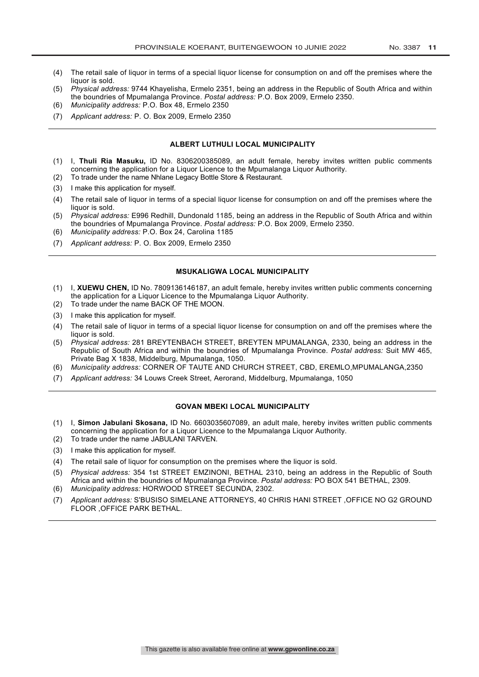- (4) The retail sale of liquor in terms of a special liquor license for consumption on and off the premises where the liquor is sold.
- (5) *Physical address:* 9744 Khayelisha, Ermelo 2351, being an address in the Republic of South Africa and within the boundries of Mpumalanga Province. *Postal address:* P.O. Box 2009, Ermelo 2350.
- (6) *Municipality address:* P.O. Box 48, Ermelo 2350
- (7) *Applicant address:* P. O. Box 2009, Ermelo 2350

#### **ALBERT LUTHULI LOCAL MUNICIPALITY**

- (1) I, **Thuli Ria Masuku,** ID No. 8306200385089, an adult female, hereby invites written public comments concerning the application for a Liquor Licence to the Mpumalanga Liquor Authority.
- (2) To trade under the name Nhlane Legacy Bottle Store & Restaurant.
- (3) I make this application for myself.
- (4) The retail sale of liquor in terms of a special liquor license for consumption on and off the premises where the liquor is sold.
- (5) *Physical address:* E996 Redhill, Dundonald 1185, being an address in the Republic of South Africa and within the boundries of Mpumalanga Province. *Postal address:* P.O. Box 2009, Ermelo 2350.
- (6) *Municipality address:* P.O. Box 24, Carolina 1185
- (7) *Applicant address:* P. O. Box 2009, Ermelo 2350

#### **MSUKALIGWA LOCAL MUNICIPALITY**

- (1) I, **XUEWU CHEN,** ID No. 7809136146187, an adult female, hereby invites written public comments concerning the application for a Liquor Licence to the Mpumalanga Liquor Authority.
- (2) To trade under the name BACK OF THE MOON.
- (3) I make this application for myself.
- (4) The retail sale of liquor in terms of a special liquor license for consumption on and off the premises where the liquor is sold.
- (5) *Physical address:* 281 BREYTENBACH STREET, BREYTEN MPUMALANGA, 2330, being an address in the Republic of South Africa and within the boundries of Mpumalanga Province. *Postal address:* Suit MW 465, Private Bag X 1838, Middelburg, Mpumalanga, 1050.
- (6) *Municipality address:* CORNER OF TAUTE AND CHURCH STREET, CBD, EREMLO,MPUMALANGA,2350
- (7) *Applicant address:* 34 Louws Creek Street, Aerorand, Middelburg, Mpumalanga, 1050

#### **GOVAN MBEKI LOCAL MUNICIPALITY**

- (1) I, **Simon Jabulani Skosana,** ID No. 6603035607089, an adult male, hereby invites written public comments concerning the application for a Liquor Licence to the Mpumalanga Liquor Authority.
- (2) To trade under the name JABULANI TARVEN.
- (3) I make this application for myself.
- (4) The retail sale of liquor for consumption on the premises where the liquor is sold.
- (5) *Physical address:* 354 1st STREET EMZINONI, BETHAL 2310, being an address in the Republic of South Africa and within the boundries of Mpumalanga Province. *Postal address:* PO BOX 541 BETHAL, 2309. (6) *Municipality address:* HORWOOD STREET SECUNDA, 2302.
- 
- (7) *Applicant address:* S'BUSISO SIMELANE ATTORNEYS, 40 CHRIS HANI STREET ,OFFICE NO G2 GROUND FLOOR ,OFFICE PARK BETHAL.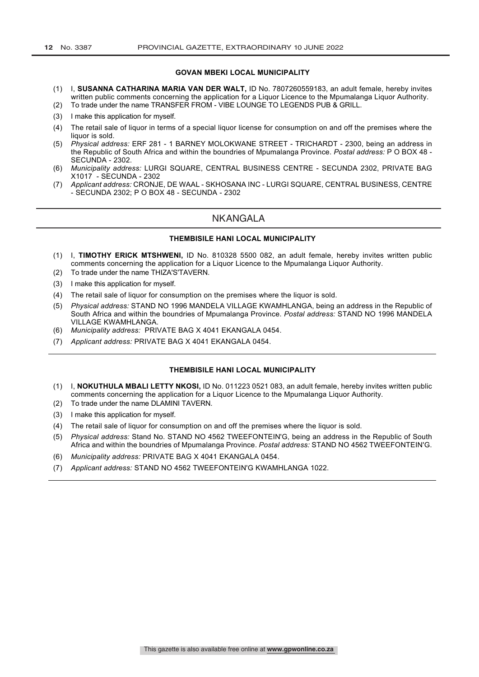#### **GOVAN MBEKI LOCAL MUNICIPALITY**

- (1) I, **SUSANNA CATHARINA MARIA VAN DER WALT,** ID No. 7807260559183, an adult female, hereby invites written public comments concerning the application for a Liquor Licence to the Mpumalanga Liquor Authority.
- (2) To trade under the name TRANSFER FROM VIBE LOUNGE TO LEGENDS PUB & GRILL.
- (3) I make this application for myself.
- (4) The retail sale of liquor in terms of a special liquor license for consumption on and off the premises where the liquor is sold.
- (5) *Physical address:* ERF 281 1 BARNEY MOLOKWANE STREET TRICHARDT 2300, being an address in the Republic of South Africa and within the boundries of Mpumalanga Province. *Postal address:* P O BOX 48 - SECUNDA - 2302.
- (6) *Municipality address:* LURGI SQUARE, CENTRAL BUSINESS CENTRE SECUNDA 2302, PRIVATE BAG X1017 - SECUNDA - 2302
- (7) *Applicant address:* CRONJE, DE WAAL SKHOSANA INC LURGI SQUARE, CENTRAL BUSINESS, CENTRE - SECUNDA 2302; P O BOX 48 - SECUNDA - 2302

#### NKANGALA

#### **THEMBISILE HANI LOCAL MUNICIPALITY**

- (1) I, **TIMOTHY ERICK MTSHWENI,** ID No. 810328 5500 082, an adult female, hereby invites written public comments concerning the application for a Liquor Licence to the Mpumalanga Liquor Authority.
- (2) To trade under the name THIZA'S'TAVERN.
- (3) I make this application for myself.
- (4) The retail sale of liquor for consumption on the premises where the liquor is sold.
- (5) *Physical address:* STAND NO 1996 MANDELA VILLAGE KWAMHLANGA, being an address in the Republic of South Africa and within the boundries of Mpumalanga Province. *Postal address:* STAND NO 1996 MANDELA VILLAGE KWAMHLANGA.
- (6) *Municipality address:* PRIVATE BAG X 4041 EKANGALA 0454.
- (7) *Applicant address:* PRIVATE BAG X 4041 EKANGALA 0454.

#### **THEMBISILE HANI LOCAL MUNICIPALITY**

- (1) I, **NOKUTHULA MBALI LETTY NKOSI,** ID No. 011223 0521 083, an adult female, hereby invites written public comments concerning the application for a Liquor Licence to the Mpumalanga Liquor Authority.
- (2) To trade under the name DLAMINI TAVERN.
- (3) I make this application for myself.
- (4) The retail sale of liquor for consumption on and off the premises where the liquor is sold.
- (5) *Physical address:* Stand No. STAND NO 4562 TWEEFONTEIN'G, being an address in the Republic of South Africa and within the boundries of Mpumalanga Province. *Postal address:* STAND NO 4562 TWEEFONTEIN'G.
- (6) *Municipality address:* PRIVATE BAG X 4041 EKANGALA 0454.
- (7) *Applicant address:* STAND NO 4562 TWEEFONTEIN'G KWAMHLANGA 1022.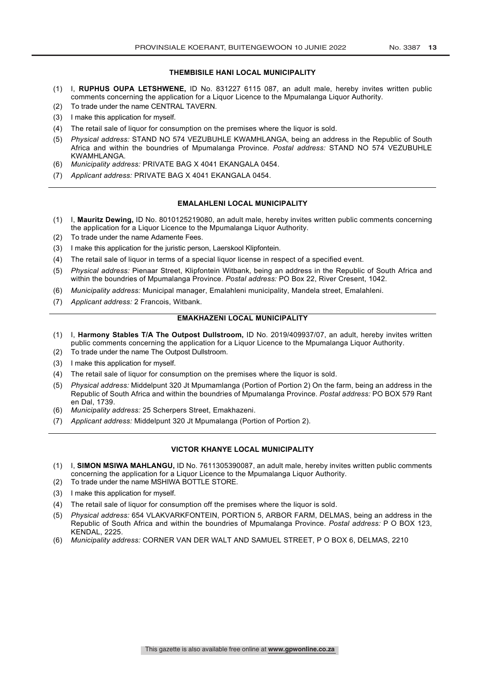#### **THEMBISILE HANI LOCAL MUNICIPALITY**

- (1) I, **RUPHUS OUPA LETSHWENE,** ID No. 831227 6115 087, an adult male, hereby invites written public comments concerning the application for a Liquor Licence to the Mpumalanga Liquor Authority.
- (2) To trade under the name CENTRAL TAVERN.
- (3) I make this application for myself.
- (4) The retail sale of liquor for consumption on the premises where the liquor is sold.
- (5) *Physical address:* STAND NO 574 VEZUBUHLE KWAMHLANGA, being an address in the Republic of South Africa and within the boundries of Mpumalanga Province. *Postal address:* STAND NO 574 VEZUBUHLE KWAMHLANGA.
- (6) *Municipality address:* PRIVATE BAG X 4041 EKANGALA 0454.
- (7) *Applicant address:* PRIVATE BAG X 4041 EKANGALA 0454.

#### **EMALAHLENI LOCAL MUNICIPALITY**

- (1) I, **Mauritz Dewing,** ID No. 8010125219080, an adult male, hereby invites written public comments concerning the application for a Liquor Licence to the Mpumalanga Liquor Authority.
- (2) To trade under the name Adamente Fees.
- (3) I make this application for the juristic person, Laerskool Klipfontein.
- (4) The retail sale of liquor in terms of a special liquor license in respect of a specified event.
- (5) *Physical address:* Pienaar Street, Klipfontein Witbank, being an address in the Republic of South Africa and within the boundries of Mpumalanga Province. *Postal address:* PO Box 22, River Cresent, 1042.
- (6) *Municipality address:* Municipal manager, Emalahleni municipality, Mandela street, Emalahleni.
- (7) *Applicant address:* 2 Francois, Witbank.

#### **EMAKHAZENI LOCAL MUNICIPALITY**

- (1) I, **Harmony Stables T/A The Outpost Dullstroom,** ID No. 2019/409937/07, an adult, hereby invites written public comments concerning the application for a Liquor Licence to the Mpumalanga Liquor Authority.
- (2) To trade under the name The Outpost Dullstroom.
- (3) I make this application for myself.
- (4) The retail sale of liquor for consumption on the premises where the liquor is sold.
- (5) *Physical address:* Middelpunt 320 Jt Mpumamlanga (Portion of Portion 2) On the farm, being an address in the Republic of South Africa and within the boundries of Mpumalanga Province. *Postal address:* PO BOX 579 Rant en Dal, 1739.
- (6) *Municipality address:* 25 Scherpers Street, Emakhazeni.
- (7) *Applicant address:* Middelpunt 320 Jt Mpumalanga (Portion of Portion 2).

#### **VICTOR KHANYE LOCAL MUNICIPALITY**

- (1) I, **SIMON MSIWA MAHLANGU,** ID No. 7611305390087, an adult male, hereby invites written public comments concerning the application for a Liquor Licence to the Mpumalanga Liquor Authority.
- (2) To trade under the name MSHIWA BOTTLE STORE.
- (3) I make this application for myself.
- (4) The retail sale of liquor for consumption off the premises where the liquor is sold.
- (5) *Physical address:* 654 VLAKVARKFONTEIN, PORTION 5, ARBOR FARM, DELMAS, being an address in the Republic of South Africa and within the boundries of Mpumalanga Province. *Postal address:* P O BOX 123, KENDAL, 2225.
- (6) *Municipality address:* CORNER VAN DER WALT AND SAMUEL STREET, P O BOX 6, DELMAS, 2210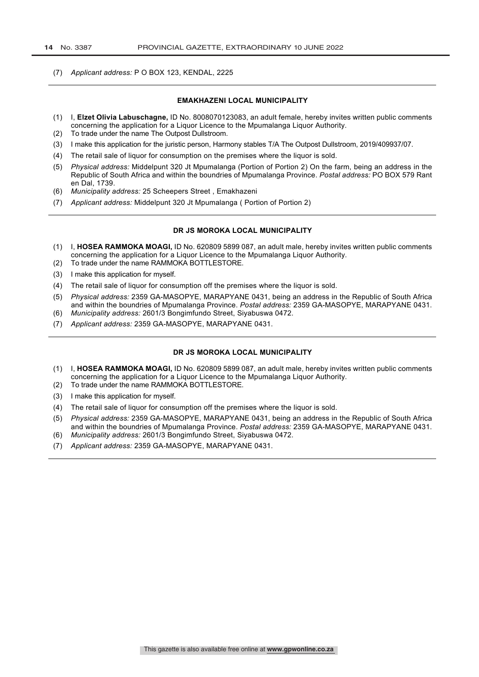(7) *Applicant address:* P O BOX 123, KENDAL, 2225

#### **EMAKHAZENI LOCAL MUNICIPALITY**

- (1) I, **Elzet Olivia Labuschagne,** ID No. 8008070123083, an adult female, hereby invites written public comments concerning the application for a Liquor Licence to the Mpumalanga Liquor Authority.
- (2) To trade under the name The Outpost Dullstroom.
- (3) I make this application for the juristic person, Harmony stables T/A The Outpost Dullstroom, 2019/409937/07.
- (4) The retail sale of liquor for consumption on the premises where the liquor is sold.
- (5) *Physical address:* Middelpunt 320 Jt Mpumalanga (Portion of Portion 2) On the farm, being an address in the Republic of South Africa and within the boundries of Mpumalanga Province. *Postal address:* PO BOX 579 Rant en Dal, 1739.
- (6) *Municipality address:* 25 Scheepers Street , Emakhazeni
- (7) *Applicant address:* Middelpunt 320 Jt Mpumalanga ( Portion of Portion 2)

#### **DR JS MOROKA LOCAL MUNICIPALITY**

- (1) I, **HOSEA RAMMOKA MOAGI,** ID No. 620809 5899 087, an adult male, hereby invites written public comments concerning the application for a Liquor Licence to the Mpumalanga Liquor Authority.
- (2) To trade under the name RAMMOKA BOTTLESTORE.
- (3) I make this application for myself.
- (4) The retail sale of liquor for consumption off the premises where the liquor is sold.
- (5) *Physical address:* 2359 GA-MASOPYE, MARAPYANE 0431, being an address in the Republic of South Africa and within the boundries of Mpumalanga Province. *Postal address:* 2359 GA-MASOPYE, MARAPYANE 0431.
- (6) *Municipality address:* 2601/3 Bongimfundo Street, Siyabuswa 0472.
- (7) *Applicant address:* 2359 GA-MASOPYE, MARAPYANE 0431.

#### **DR JS MOROKA LOCAL MUNICIPALITY**

- (1) I, **HOSEA RAMMOKA MOAGI,** ID No. 620809 5899 087, an adult male, hereby invites written public comments concerning the application for a Liquor Licence to the Mpumalanga Liquor Authority.
- (2) To trade under the name RAMMOKA BOTTLESTORE.
- (3) I make this application for myself.
- (4) The retail sale of liquor for consumption off the premises where the liquor is sold.
- (5) *Physical address:* 2359 GA-MASOPYE, MARAPYANE 0431, being an address in the Republic of South Africa and within the boundries of Mpumalanga Province. *Postal address:* 2359 GA-MASOPYE, MARAPYANE 0431. (6) *Municipality address:* 2601/3 Bongimfundo Street, Siyabuswa 0472.
- (7) *Applicant address:* 2359 GA-MASOPYE, MARAPYANE 0431.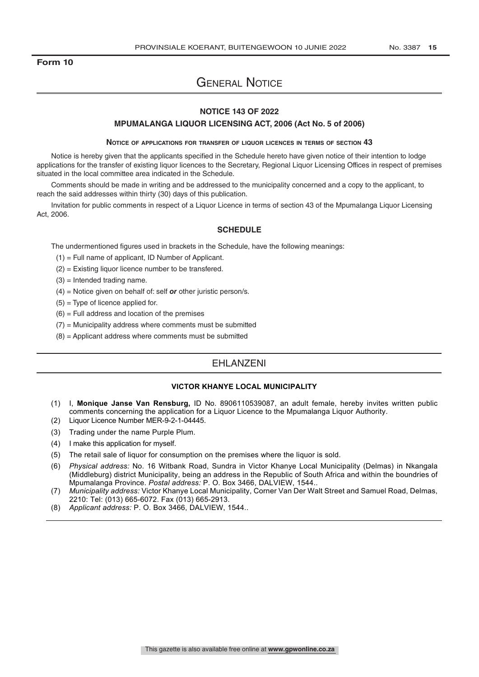### **Form 10**

# General Notice

## **NOTICE 143 OF 2022**

#### **MPUMALANGA LIQUOR LICENSING ACT, 2006 (Act No. 5 of 2006)**

#### **Notice of applications for transfer of liquor licences in terms of section 43**

Notice is hereby given that the applicants specified in the Schedule hereto have given notice of their intention to lodge applications for the transfer of existing liquor licences to the Secretary, Regional Liquor Licensing Offices in respect of premises situated in the local committee area indicated in the Schedule.

Comments should be made in writing and be addressed to the municipality concerned and a copy to the applicant, to reach the said addresses within thirty (30) days of this publication.

Invitation for public comments in respect of a Liquor Licence in terms of section 43 of the Mpumalanga Liquor Licensing Act, 2006.

#### **SCHEDULE**

The undermentioned figures used in brackets in the Schedule, have the following meanings:

 $(1)$  = Full name of applicant, ID Number of Applicant.

- (2) = Existing liquor licence number to be transfered.
- $(3)$  = Intended trading name.
- (4) = Notice given on behalf of: self *or* other juristic person/s.
- $(5)$  = Type of licence applied for.
- $(6)$  = Full address and location of the premises
- $(7)$  = Municipality address where comments must be submitted
- (8) = Applicant address where comments must be submitted

### EHLANZENI

#### **VICTOR KHANYE LOCAL MUNICIPALITY**

- (1) I, **Monique Janse Van Rensburg,** ID No. 8906110539087, an adult female, hereby invites written public comments concerning the application for a Liquor Licence to the Mpumalanga Liquor Authority.
- (2) Liquor Licence Number MER-9-2-1-04445.
- (3) Trading under the name Purple Plum.
- (4) I make this application for myself.
- (5) The retail sale of liquor for consumption on the premises where the liquor is sold.
- (6) *Physical address:* No. 16 Witbank Road, Sundra in Victor Khanye Local Municipality (Delmas) in Nkangala (Middleburg) district Municipality, being an address in the Republic of South Africa and within the boundries of Mpumalanga Province. *Postal address:* P. O. Box 3466, DALVIEW, 1544..
- (7) *Municipality address:* Victor Khanye Local Municipality, Corner Van Der Walt Street and Samuel Road, Delmas, 2210: Tel: (013) 665-6072. Fax (013) 665-2913.
- (8) *Applicant address:* P. O. Box 3466, DALVIEW, 1544..